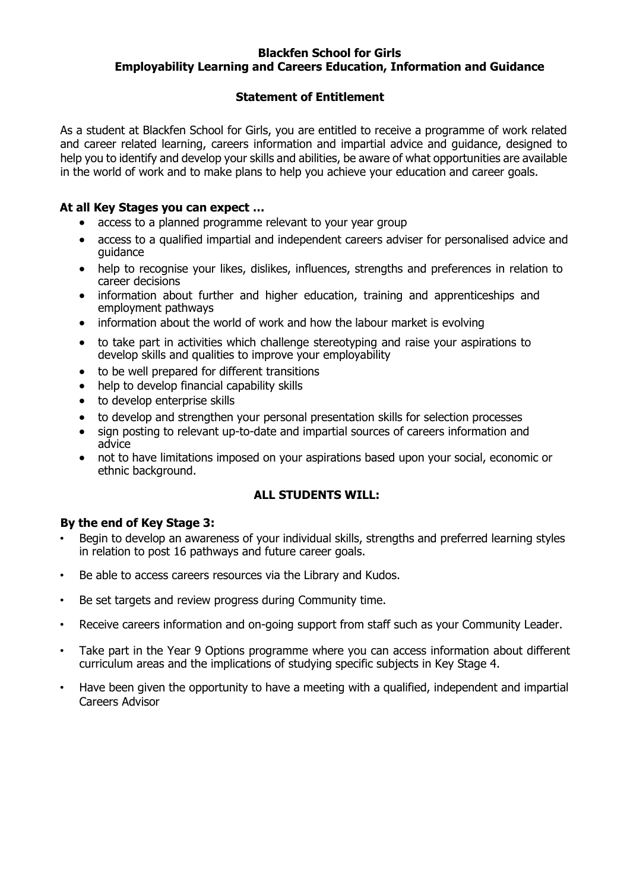### **Blackfen School for Girls Employability Learning and Careers Education, Information and Guidance**

# **Statement of Entitlement**

As a student at Blackfen School for Girls, you are entitled to receive a programme of work related and career related learning, careers information and impartial advice and guidance, designed to help you to identify and develop your skills and abilities, be aware of what opportunities are available in the world of work and to make plans to help you achieve your education and career goals.

### **At all Key Stages you can expect …**

- access to a planned programme relevant to your year group
- access to a qualified impartial and independent careers adviser for personalised advice and guidance
- help to recognise your likes, dislikes, influences, strengths and preferences in relation to career decisions
- information about further and higher education, training and apprenticeships and employment pathways
- information about the world of work and how the labour market is evolving
- to take part in activities which challenge stereotyping and raise your aspirations to develop skills and qualities to improve your employability
- to be well prepared for different transitions
- help to develop financial capability skills
- to develop enterprise skills
- to develop and strengthen your personal presentation skills for selection processes
- sign posting to relevant up-to-date and impartial sources of careers information and advice
- not to have limitations imposed on your aspirations based upon your social, economic or ethnic background.

#### **ALL STUDENTS WILL:**

#### **By the end of Key Stage 3:**

- Begin to develop an awareness of your individual skills, strengths and preferred learning styles in relation to post 16 pathways and future career goals.
- Be able to access careers resources via the Library and Kudos.
- Be set targets and review progress during Community time.
- Receive careers information and on-going support from staff such as your Community Leader.
- Take part in the Year 9 Options programme where you can access information about different curriculum areas and the implications of studying specific subjects in Key Stage 4.
- Have been given the opportunity to have a meeting with a qualified, independent and impartial Careers Advisor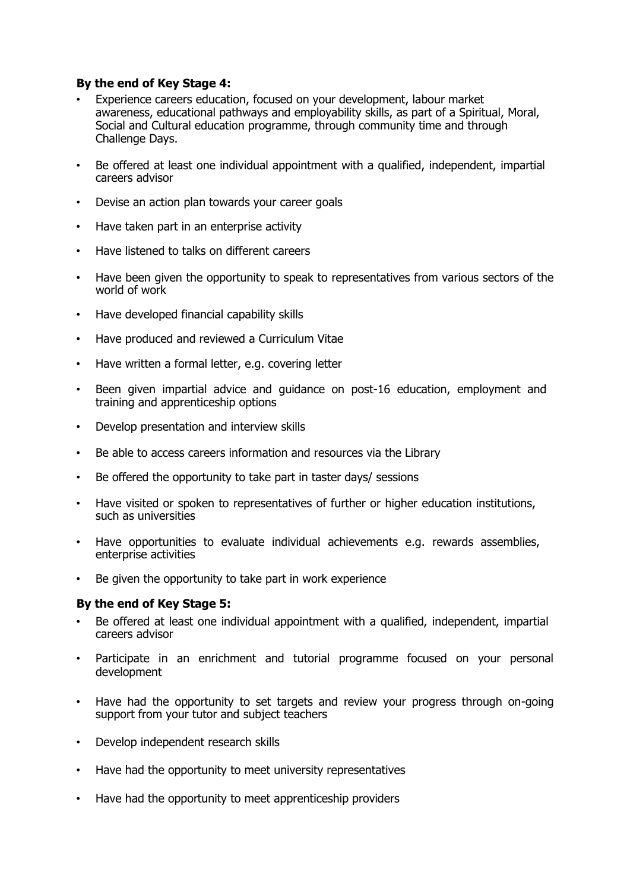# **By the end of Key Stage 4:**

- Experience careers education, focused on your development, labour market awareness, educational pathways and employability skills, as part of a Spiritual, Moral, Social and Cultural education programme, through community time and through Challenge Days.
- Be offered at least one individual appointment with a qualified, independent, impartial careers advisor
- Devise an action plan towards your career goals
- Have taken part in an enterprise activity
- Have listened to talks on different careers
- Have been given the opportunity to speak to representatives from various sectors of the world of work
- Have developed financial capability skills
- Have produced and reviewed a Curriculum Vitae
- Have written a formal letter, e.g. covering letter
- Been given impartial advice and guidance on post-16 education, employment and training and apprenticeship options
- Develop presentation and interview skills
- Be able to access careers information and resources via the Library
- Be offered the opportunity to take part in taster days/ sessions
- Have visited or spoken to representatives of further or higher education institutions, such as universities
- Have opportunities to evaluate individual achievements e.g. rewards assemblies, enterprise activities
- Be given the opportunity to take part in work experience

#### **By the end of Key Stage 5:**

- Be offered at least one individual appointment with a qualified, independent, impartial careers advisor
- Participate in an enrichment and tutorial programme focused on your personal development
- Have had the opportunity to set targets and review your progress through on-going support from your tutor and subject teachers
- Develop independent research skills
- Have had the opportunity to meet university representatives
- Have had the opportunity to meet apprenticeship providers